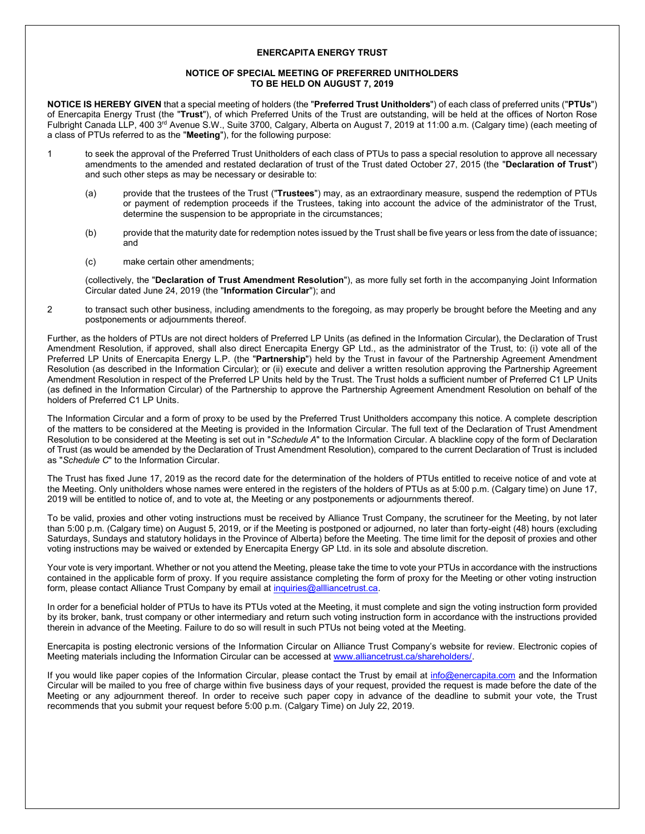## **ENERCAPITA ENERGY TRUST**

## **NOTICE OF SPECIAL MEETING OF PREFERRED UNITHOLDERS TO BE HELD ON AUGUST 7, 2019**

**NOTICE IS HEREBY GIVEN** that a special meeting of holders (the "**Preferred Trust Unitholders**") of each class of preferred units ("**PTUs**") of Enercapita Energy Trust (the "**Trust**"), of which Preferred Units of the Trust are outstanding, will be held at the offices of Norton Rose Fulbright Canada LLP, 400 3<sup>rd</sup> Avenue S.W., Suite 3700, Calgary, Alberta on August 7, 2019 at 11:00 a.m. (Calgary time) (each meeting of a class of PTUs referred to as the "**Meeting**"), for the following purpose:

- 1 to seek the approval of the Preferred Trust Unitholders of each class of PTUs to pass a special resolution to approve all necessary amendments to the amended and restated declaration of trust of the Trust dated October 27, 2015 (the "**Declaration of Trust**") and such other steps as may be necessary or desirable to:
	- (a) provide that the trustees of the Trust ("**Trustees**") may, as an extraordinary measure, suspend the redemption of PTUs or payment of redemption proceeds if the Trustees, taking into account the advice of the administrator of the Trust, determine the suspension to be appropriate in the circumstances;
	- (b) provide that the maturity date for redemption notes issued by the Trust shall be five years or less from the date of issuance; and
	- (c) make certain other amendments;

(collectively, the "**Declaration of Trust Amendment Resolution**"), as more fully set forth in the accompanying Joint Information Circular dated June 24, 2019 (the "**Information Circular**"); and

2 to transact such other business, including amendments to the foregoing, as may properly be brought before the Meeting and any postponements or adjournments thereof.

Further, as the holders of PTUs are not direct holders of Preferred LP Units (as defined in the Information Circular), the Declaration of Trust Amendment Resolution, if approved, shall also direct Enercapita Energy GP Ltd., as the administrator of the Trust, to: (i) vote all of the Preferred LP Units of Enercapita Energy L.P. (the "**Partnership**") held by the Trust in favour of the Partnership Agreement Amendment Resolution (as described in the Information Circular); or (ii) execute and deliver a written resolution approving the Partnership Agreement Amendment Resolution in respect of the Preferred LP Units held by the Trust. The Trust holds a sufficient number of Preferred C1 LP Units (as defined in the Information Circular) of the Partnership to approve the Partnership Agreement Amendment Resolution on behalf of the holders of Preferred C1 LP Units.

The Information Circular and a form of proxy to be used by the Preferred Trust Unitholders accompany this notice. A complete description of the matters to be considered at the Meeting is provided in the Information Circular. The full text of the Declaration of Trust Amendment Resolution to be considered at the Meeting is set out in "*Schedule A*" to the Information Circular. A blackline copy of the form of Declaration of Trust (as would be amended by the Declaration of Trust Amendment Resolution), compared to the current Declaration of Trust is included as "*Schedule C*" to the Information Circular.

The Trust has fixed June 17, 2019 as the record date for the determination of the holders of PTUs entitled to receive notice of and vote at the Meeting. Only unitholders whose names were entered in the registers of the holders of PTUs as at 5:00 p.m. (Calgary time) on June 17, 2019 will be entitled to notice of, and to vote at, the Meeting or any postponements or adjournments thereof.

To be valid, proxies and other voting instructions must be received by Alliance Trust Company, the scrutineer for the Meeting, by not later than 5:00 p.m. (Calgary time) on August 5, 2019, or if the Meeting is postponed or adjourned, no later than forty-eight (48) hours (excluding Saturdays, Sundays and statutory holidays in the Province of Alberta) before the Meeting. The time limit for the deposit of proxies and other voting instructions may be waived or extended by Enercapita Energy GP Ltd. in its sole and absolute discretion.

Your vote is very important. Whether or not you attend the Meeting, please take the time to vote your PTUs in accordance with the instructions contained in the applicable form of proxy. If you require assistance completing the form of proxy for the Meeting or other voting instruction form, please contact Alliance Trust Company by email at [inquiries@allliancetrust.ca.](mailto:inquiries@allliancetrust.ca)

In order for a beneficial holder of PTUs to have its PTUs voted at the Meeting, it must complete and sign the voting instruction form provided by its broker, bank, trust company or other intermediary and return such voting instruction form in accordance with the instructions provided therein in advance of the Meeting. Failure to do so will result in such PTUs not being voted at the Meeting.

Enercapita is posting electronic versions of the Information Circular on Alliance Trust Company's website for review. Electronic copies of Meeting materials including the Information Circular can be accessed a[t www.alliancetrust.ca/shareholders/.](http://www.alliancetrust.ca/shareholders/)

If you would like paper copies of the Information Circular, please contact the Trust by email at [info@enercapita.com](mailto:info@enercapita.com) and the Information Circular will be mailed to you free of charge within five business days of your request, provided the request is made before the date of the Meeting or any adjournment thereof. In order to receive such paper copy in advance of the deadline to submit your vote, the Trust recommends that you submit your request before 5:00 p.m. (Calgary Time) on July 22, 2019.